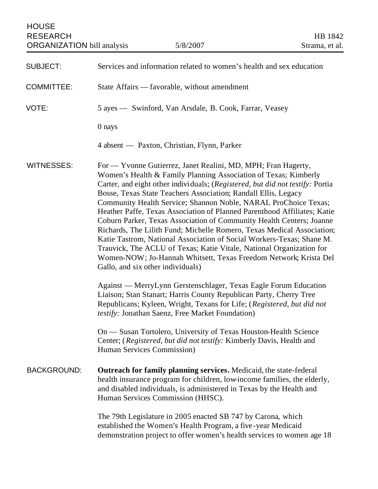| <b>HOUSE</b><br><b>RESEARCH</b><br><b>ORGANIZATION</b> bill analysis | 5/8/2007                                                                                                                                                                                                                                                                                                                                                                                                                                                                                                                                                                                                                                                                                                                                                                                                                                       | HB 1842<br>Strama, et al. |
|----------------------------------------------------------------------|------------------------------------------------------------------------------------------------------------------------------------------------------------------------------------------------------------------------------------------------------------------------------------------------------------------------------------------------------------------------------------------------------------------------------------------------------------------------------------------------------------------------------------------------------------------------------------------------------------------------------------------------------------------------------------------------------------------------------------------------------------------------------------------------------------------------------------------------|---------------------------|
| <b>SUBJECT:</b>                                                      | Services and information related to women's health and sex education                                                                                                                                                                                                                                                                                                                                                                                                                                                                                                                                                                                                                                                                                                                                                                           |                           |
| <b>COMMITTEE:</b>                                                    | State Affairs - favorable, without amendment                                                                                                                                                                                                                                                                                                                                                                                                                                                                                                                                                                                                                                                                                                                                                                                                   |                           |
| VOTE:                                                                | 5 ayes — Swinford, Van Arsdale, B. Cook, Farrar, Veasey                                                                                                                                                                                                                                                                                                                                                                                                                                                                                                                                                                                                                                                                                                                                                                                        |                           |
|                                                                      | 0 nays                                                                                                                                                                                                                                                                                                                                                                                                                                                                                                                                                                                                                                                                                                                                                                                                                                         |                           |
|                                                                      | 4 absent — Paxton, Christian, Flynn, Parker                                                                                                                                                                                                                                                                                                                                                                                                                                                                                                                                                                                                                                                                                                                                                                                                    |                           |
| <b>WITNESSES:</b>                                                    | For — Yvonne Gutierrez, Janet Realini, MD, MPH; Fran Hagerty,<br>Women's Health & Family Planning Association of Texas; Kimberly<br>Carter, and eight other individuals; (Registered, but did not testify: Portia<br>Bosse, Texas State Teachers Association; Randall Ellis, Legacy<br>Community Health Service; Shannon Noble, NARAL ProChoice Texas;<br>Heather Paffe, Texas Association of Planned Parenthood Affiliates; Katie<br>Coburn Parker, Texas Association of Community Health Centers; Joanne<br>Richards, The Lilith Fund; Michelle Romero, Texas Medical Association;<br>Katie Tastrom, National Association of Social Workers-Texas; Shane M.<br>Trauvick, The ACLU of Texas; Katie Vitale, National Organization for<br>Women-NOW; Jo-Hannah Whitsett, Texas Freedom Network; Krista Del<br>Gallo, and six other individuals) |                           |
|                                                                      | Against — MerryLynn Gerstenschlager, Texas Eagle Forum Education<br>Liaison; Stan Stanart; Harris County Republican Party, Cherry Tree<br>Republicans; Kyleen, Wright, Texans for Life; (Registered, but did not<br>testify: Jonathan Saenz, Free Market Foundation)                                                                                                                                                                                                                                                                                                                                                                                                                                                                                                                                                                           |                           |
|                                                                      | On — Susan Tortolero, University of Texas Houston-Health Science<br>Center; (Registered, but did not testify: Kimberly Davis, Health and<br>Human Services Commission)                                                                                                                                                                                                                                                                                                                                                                                                                                                                                                                                                                                                                                                                         |                           |
| <b>BACKGROUND:</b>                                                   | <b>Outreach for family planning services.</b> Medicaid, the state-federal<br>health insurance program for children, low-income families, the elderly,<br>and disabled individuals, is administered in Texas by the Health and<br>Human Services Commission (HHSC).                                                                                                                                                                                                                                                                                                                                                                                                                                                                                                                                                                             |                           |
|                                                                      | The 79th Legislature in 2005 enacted SB 747 by Carona, which<br>established the Women's Health Program, a five-year Medicaid<br>demonstration project to offer women's health services to women age 18                                                                                                                                                                                                                                                                                                                                                                                                                                                                                                                                                                                                                                         |                           |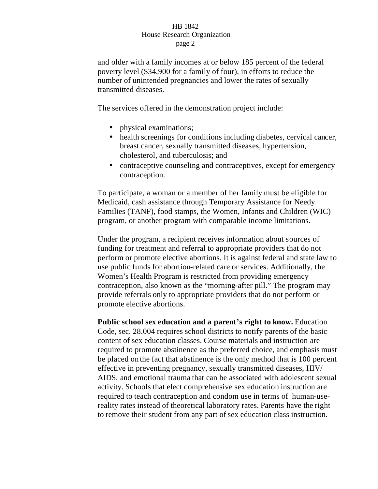and older with a family incomes at or below 185 percent of the federal poverty level (\$34,900 for a family of four), in efforts to reduce the number of unintended pregnancies and lower the rates of sexually transmitted diseases.

The services offered in the demonstration project include:

- physical examinations;
- health screenings for conditions including diabetes, cervical cancer, breast cancer, sexually transmitted diseases, hypertension, cholesterol, and tuberculosis; and
- contraceptive counseling and contraceptives, except for emergency contraception.

To participate, a woman or a member of her family must be eligible for Medicaid, cash assistance through Temporary Assistance for Needy Families (TANF), food stamps, the Women, Infants and Children (WIC) program, or another program with comparable income limitations.

Under the program, a recipient receives information about sources of funding for treatment and referral to appropriate providers that do not perform or promote elective abortions. It is against federal and state law to use public funds for abortion-related care or services. Additionally, the Women's Health Program is restricted from providing emergency contraception, also known as the "morning-after pill." The program may provide referrals only to appropriate providers that do not perform or promote elective abortions.

**Public school sex education and a parent's right to know.** Education Code, sec. 28.004 requires school districts to notify parents of the basic content of sex education classes. Course materials and instruction are required to promote abstinence as the preferred choice, and emphasis must be placed on the fact that abstinence is the only method that is 100 percent effective in preventing pregnancy, sexually transmitted diseases, HIV/ AIDS, and emotional trauma that can be associated with adolescent sexual activity. Schools that elect comprehensive sex education instruction are required to teach contraception and condom use in terms of human-usereality rates instead of theoretical laboratory rates. Parents have the right to remove their student from any part of sex education class instruction.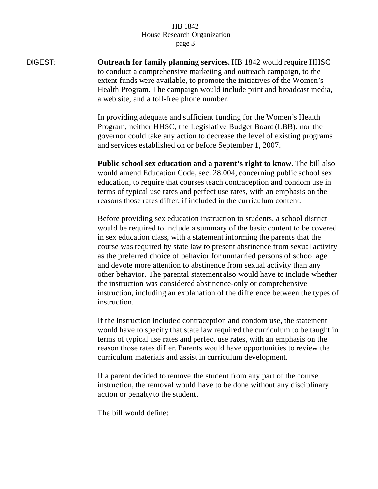DIGEST: **Outreach for family planning services.** HB 1842 would require HHSC to conduct a comprehensive marketing and outreach campaign, to the extent funds were available, to promote the initiatives of the Women's Health Program. The campaign would include print and broadcast media, a web site, and a toll-free phone number.

> In providing adequate and sufficient funding for the Women's Health Program, neither HHSC, the Legislative Budget Board (LBB), nor the governor could take any action to decrease the level of existing programs and services established on or before September 1, 2007.

> **Public school sex education and a parent's right to know.** The bill also would amend Education Code, sec. 28.004, concerning public school sex education, to require that courses teach contraception and condom use in terms of typical use rates and perfect use rates, with an emphasis on the reasons those rates differ, if included in the curriculum content.

Before providing sex education instruction to students, a school district would be required to include a summary of the basic content to be covered in sex education class, with a statement informing the parents that the course was required by state law to present abstinence from sexual activity as the preferred choice of behavior for unmarried persons of school age and devote more attention to abstinence from sexual activity than any other behavior. The parental statement also would have to include whether the instruction was considered abstinence-only or comprehensive instruction, including an explanation of the difference between the types of instruction.

If the instruction included contraception and condom use, the statement would have to specify that state law required the curriculum to be taught in terms of typical use rates and perfect use rates, with an emphasis on the reason those rates differ. Parents would have opportunities to review the curriculum materials and assist in curriculum development.

If a parent decided to remove the student from any part of the course instruction, the removal would have to be done without any disciplinary action or penalty to the student.

The bill would define: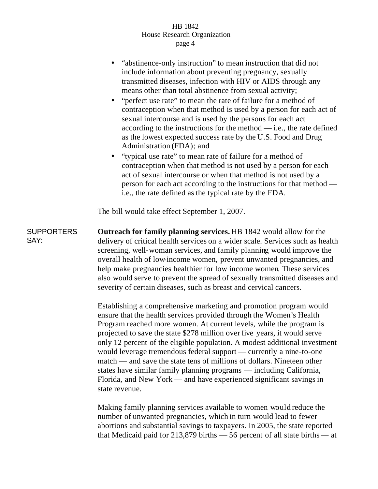- "abstinence-only instruction" to mean instruction that did not include information about preventing pregnancy, sexually transmitted diseases, infection with HIV or AIDS through any means other than total abstinence from sexual activity;
- "perfect use rate" to mean the rate of failure for a method of contraception when that method is used by a person for each act of sexual intercourse and is used by the persons for each act according to the instructions for the method  $-$  i.e., the rate defined as the lowest expected success rate by the U.S. Food and Drug Administration (FDA); and
- "typical use rate" to mean rate of failure for a method of contraception when that method is not used by a person for each act of sexual intercourse or when that method is not used by a person for each act according to the instructions for that method i.e., the rate defined as the typical rate by the FDA.

The bill would take effect September 1, 2007.

SUPPORTERS SAY: **Outreach for family planning services.** HB 1842 would allow for the delivery of critical health services on a wider scale. Services such as health screening, well-woman services, and family planning would improve the overall health of low-income women, prevent unwanted pregnancies, and help make pregnancies healthier for low income women. These services also would serve to prevent the spread of sexually transmitted diseases and severity of certain diseases, such as breast and cervical cancers.

> Establishing a comprehensive marketing and promotion program would ensure that the health services provided through the Women's Health Program reached more women. At current levels, while the program is projected to save the state \$278 million over five years, it would serve only 12 percent of the eligible population. A modest additional investment would leverage tremendous federal support — currently a nine-to-one match — and save the state tens of millions of dollars. Nineteen other states have similar family planning programs — including California, Florida, and New York — and have experienced significant savings in state revenue.

> Making family planning services available to women would reduce the number of unwanted pregnancies, which in turn would lead to fewer abortions and substantial savings to taxpayers. In 2005, the state reported that Medicaid paid for 213,879 births — 56 percent of all state births — at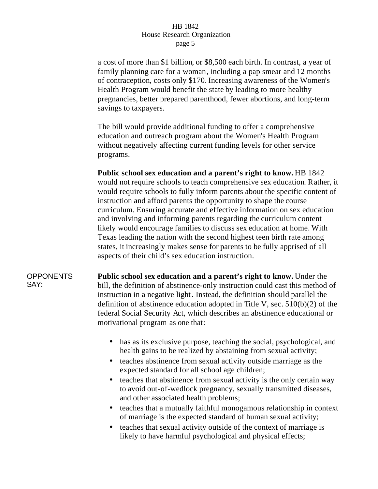a cost of more than \$1 billion, or \$8,500 each birth. In contrast, a year of family planning care for a woman, including a pap smear and 12 months of contraception, costs only \$170. Increasing awareness of the Women's Health Program would benefit the state by leading to more healthy pregnancies, better prepared parenthood, fewer abortions, and long-term savings to taxpayers.

The bill would provide additional funding to offer a comprehensive education and outreach program about the Women's Health Program without negatively affecting current funding levels for other service programs.

**Public school sex education and a parent's right to know.** HB 1842 would not require schools to teach comprehensive sex education. Rather, it would require schools to fully inform parents about the specific content of instruction and afford parents the opportunity to shape the course curriculum. Ensuring accurate and effective information on sex education and involving and informing parents regarding the curriculum content likely would encourage families to discuss sex education at home. With Texas leading the nation with the second highest teen birth rate among states, it increasingly makes sense for parents to be fully apprised of all aspects of their child's sex education instruction.

### OPPONENTS SAY:

**Public school sex education and a parent's right to know.** Under the bill, the definition of abstinence-only instruction could cast this method of instruction in a negative light. Instead, the definition should parallel the definition of abstinence education adopted in Title V, sec.  $510(b)(2)$  of the federal Social Security Act, which describes an abstinence educational or motivational program as one that:

- has as its exclusive purpose, teaching the social, psychological, and health gains to be realized by abstaining from sexual activity;
- teaches abstinence from sexual activity outside marriage as the expected standard for all school age children;
- teaches that abstinence from sexual activity is the only certain way to avoid out-of-wedlock pregnancy, sexually transmitted diseases, and other associated health problems;
- teaches that a mutually faithful monogamous relationship in context of marriage is the expected standard of human sexual activity;
- teaches that sexual activity outside of the context of marriage is likely to have harmful psychological and physical effects;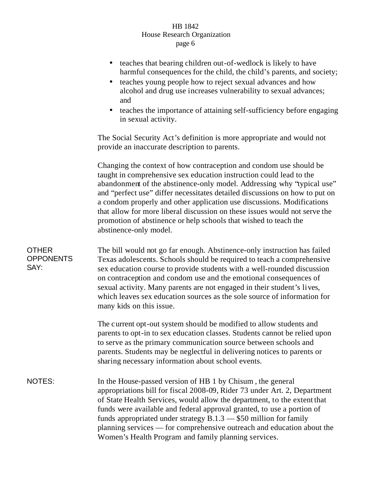- teaches that bearing children out-of-wedlock is likely to have harmful consequences for the child, the child's parents, and society;
- teaches young people how to reject sexual advances and how alcohol and drug use increases vulnerability to sexual advances; and
- teaches the importance of attaining self-sufficiency before engaging in sexual activity.

The Social Security Act's definition is more appropriate and would not provide an inaccurate description to parents.

Changing the context of how contraception and condom use should be taught in comprehensive sex education instruction could lead to the abandonment of the abstinence-only model. Addressing why "typical use" and "perfect use" differ necessitates detailed discussions on how to put on a condom properly and other application use discussions. Modifications that allow for more liberal discussion on these issues would not serve the promotion of abstinence or help schools that wished to teach the abstinence-only model.

**OTHER OPPONENTS** SAY:

The bill would not go far enough. Abstinence-only instruction has failed Texas adolescents. Schools should be required to teach a comprehensive sex education course to provide students with a well-rounded discussion on contraception and condom use and the emotional consequences of sexual activity. Many parents are not engaged in their student's lives, which leaves sex education sources as the sole source of information for many kids on this issue.

The current opt-out system should be modified to allow students and parents to opt-in to sex education classes. Students cannot be relied upon to serve as the primary communication source between schools and parents. Students may be neglectful in delivering notices to parents or sharing necessary information about school events.

NOTES: In the House-passed version of HB 1 by Chisum, the general appropriations bill for fiscal 2008-09, Rider 73 under Art. 2, Department of State Health Services, would allow the department, to the extent that funds were available and federal approval granted, to use a portion of funds appropriated under strategy B.1.3 — \$50 million for family planning services — for comprehensive outreach and education about the Women's Health Program and family planning services.